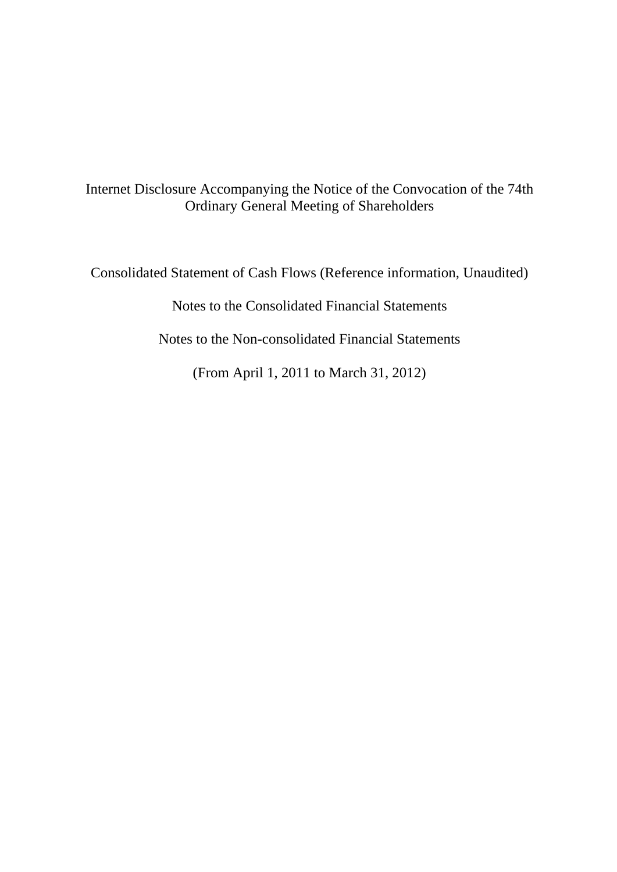Internet Disclosure Accompanying the Notice of the Convocation of the 74th Ordinary General Meeting of Shareholders

Consolidated Statement of Cash Flows (Reference information, Unaudited)

Notes to the Consolidated Financial Statements

Notes to the Non-consolidated Financial Statements

(From April 1, 2011 to March 31, 2012)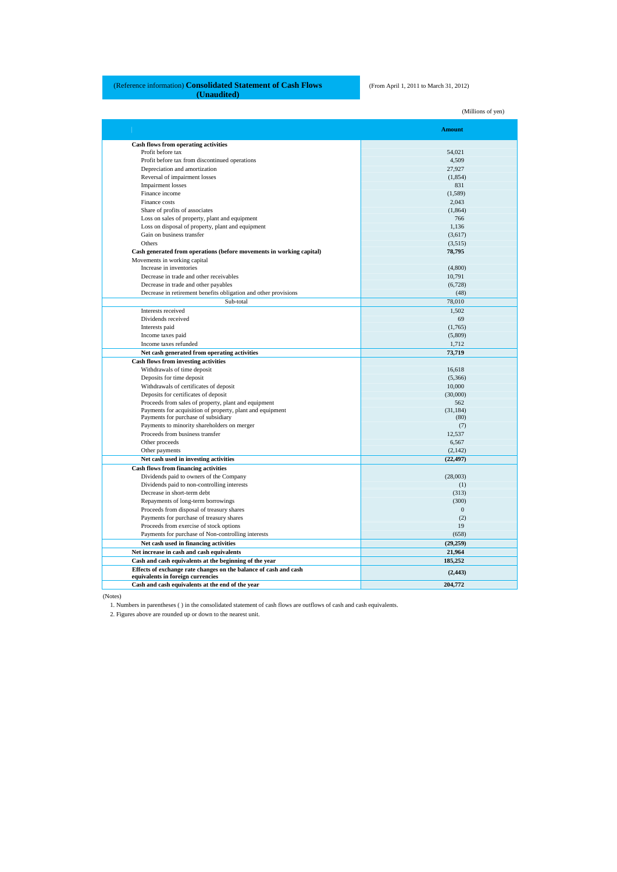## (Reference information) **Consolidated Statement of Cash Flows (Unaudited)**

(From April 1, 2011 to March 31, 2012)

(Millions of yen)

|                                                                      | <b>Amount</b> |
|----------------------------------------------------------------------|---------------|
| <b>Cash flows from operating activities</b>                          |               |
| Profit before tax                                                    | 54,021        |
| Profit before tax from discontinued operations                       | 4,509         |
| Depreciation and amortization                                        | 27,927        |
| Reversal of impairment losses                                        | (1, 854)      |
| <b>Impairment</b> losses                                             | 831           |
| Finance income                                                       | (1,589)       |
| Finance costs                                                        | 2.043         |
| Share of profits of associates                                       | (1, 864)      |
| Loss on sales of property, plant and equipment                       | 766           |
| Loss on disposal of property, plant and equipment                    | 1,136         |
| Gain on business transfer                                            | (3,617)       |
| Others                                                               | (3,515)       |
| Cash generated from operations (before movements in working capital) | 78,795        |
| Movements in working capital                                         |               |
| Increase in inventories                                              | (4,800)       |
| Decrease in trade and other receivables                              | 10,791        |
| Decrease in trade and other payables                                 | (6,728)       |
| Decrease in retirement benefits obligation and other provisions      | (48)          |
| Sub-total                                                            | 78,010        |
| Interests received                                                   | 1,502         |
| Dividends received                                                   | 69            |
| Interests paid                                                       | (1,765)       |
| Income taxes paid                                                    | (5,809)       |
| Income taxes refunded                                                | 1,712         |
| Net cash generated from operating activities                         | 73,719        |
| <b>Cash flows from investing activities</b>                          |               |
| Withdrawals of time deposit                                          | 16,618        |
| Deposits for time deposit                                            | (5,366)       |
| Withdrawals of certificates of deposit                               | 10,000        |
| Deposits for certificates of deposit                                 | (30,000)      |
| Proceeds from sales of property, plant and equipment                 | 562           |
| Payments for acquisition of property, plant and equipment            | (31, 184)     |
| Payments for purchase of subsidiary                                  | (80)          |
| Payments to minority shareholders on merger                          | (7)           |
| Proceeds from business transfer                                      | 12,537        |
| Other proceeds                                                       | 6,567         |
| Other payments                                                       | (2, 142)      |
| Net cash used in investing activities                                | (22, 497)     |
| <b>Cash flows from financing activities</b>                          |               |
| Dividends paid to owners of the Company                              | (28,003)      |
| Dividends paid to non-controlling interests                          | (1)           |
| Decrease in short-term debt                                          | (313)         |
| Repayments of long-term borrowings                                   | (300)         |
| Proceeds from disposal of treasury shares                            | $\mathbf{0}$  |
| Payments for purchase of treasury shares                             | (2)           |
| Proceeds from exercise of stock options                              | 19            |
| Payments for purchase of Non-controlling interests                   | (658)         |
| Net cash used in financing activities                                | (29, 259)     |
| Net increase in cash and cash equivalents                            | 21,964        |
| Cash and cash equivalents at the beginning of the year               | 185,252       |
| Effects of exchange rate changes on the balance of cash and cash     |               |
| equivalents in foreign currencies                                    | (2, 443)      |
| Cash and cash equivalents at the end of the year                     | 204,772       |

(Notes)

1. Numbers in parentheses ( ) in the consolidated statement of cash flows are outflows of cash and cash equivalents.

2. Figures above are rounded up or down to the nearest unit.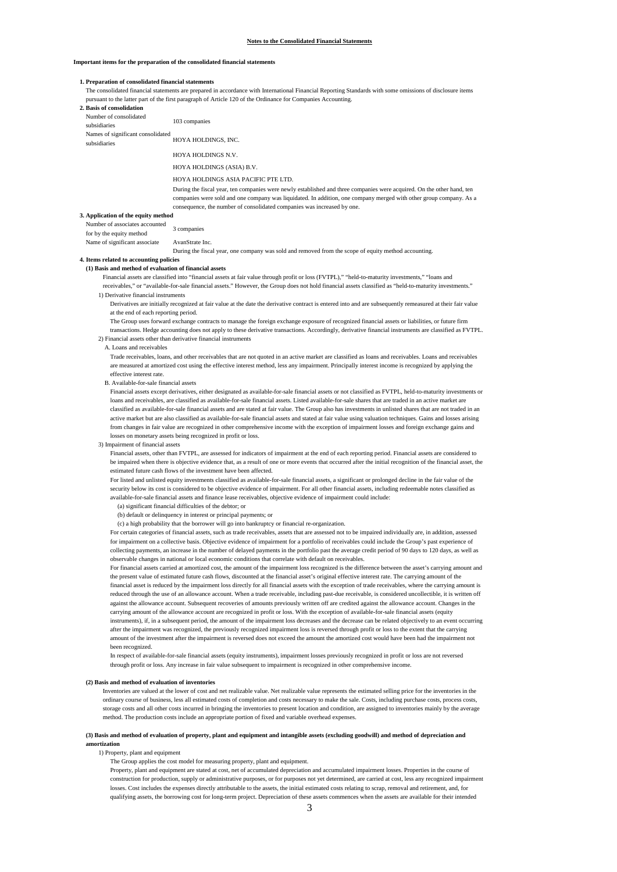## **Important items for the preparation of the consolidated financial statements**

# **1. Preparation of consolidated financial statements**

The consolidated financial statements are prepared in accordance with International Financial Reporting Standards with some omissions of disclosure items pursuant to the latter part of the first paragraph of Article 120 of the Ordinance for Companies Accounting.

**2. Basis of consolidation** Number of consolidated subsidiaries 103 companies Names of significant consolidated<br>subsidiaries<br>HOYA HOLDINGS, INC. HOYA HOLDINGS N.V. HOYA HOLDINGS (ASIA) B.V. HOYA HOLDINGS ASIA PACIFIC PTE LTD. During the fiscal year, ten companies were newly established and three companies were acquired. On the other hand, ten companies were sold and one company was liquidated. In addition, one company merged with other group company. As a consequence, the number of consolidated companies was increased by one. **3. Application of the equity method**

Number of associates accounted for by the equity method 3 companies Name of significant associate AvanStrate Inc.

During the fiscal year, one company was sold and removed from the scope of equity method accounting.

### **4. Items related to accounting policies (1) Basis and method of evaluation of financial assets**

Financial assets are classified into "financial assets at fair value through profit or loss (FVTPL)," "held-to-maturity investments," "loans and receivables," or "available-for-sale financial assets." However, the Group does not hold financial assets classified as "held-to-maturity investments."

# 1) Derivative financial instruments

Derivatives are initially recognized at fair value at the date the derivative contract is entered into and are subsequently remeasured at their fair value at the end of each reporting period.

#### The Group uses forward exchange contracts to manage the foreign exchange exposure of recognized financial assets or liabilities, or future firm transactions. Hedge accounting does not apply to these derivative transactions. Accordingly, derivative financial instruments are classified as FVTPL. 2) Financial assets other than derivative financial instruments

#### A. Loans and receivables

Trade receivables, loans, and other receivables that are not quoted in an active market are classified as loans and receivables. Loans and receivables are measured at amortized cost using the effective interest method, less any impairment. Principally interest income is recognized by applying the effective interest rate.

B. Available-for-sale financial assets

Financial assets except derivatives, either designated as available-for-sale financial assets or not classified as FVTPL, held-to-maturity investments or loans and receivables, are classified as available-for-sale financial assets. Listed available-for-sale shares that are traded in an active market are classified as available-for-sale financial assets and are stated at fair value. The Group also has investments in unlisted shares that are not traded in an active market but are also classified as available-for-sale financial assets and stated at fair value using valuation techniques. Gains and losses arising from changes in fair value are recognized in other comprehensive income with the exception of impairment losses and foreign exchange gains and losses on monetary assets being recognized in profit or loss.

3) Impairment of financial assets

Financial assets, other than FVTPL, are assessed for indicators of impairment at the end of each reporting period. Financial assets are considered to be impaired when there is objective evidence that, as a result of one or more events that occurred after the initial recognition of the financial asset, the estimated future cash flows of the investment have been affected.

For listed and unlisted equity investments classified as available-for-sale financial assets, a significant or prolonged decline in the fair value of the security below its cost is considered to be objective evidence of impairment. For all other financial assets, including redeemable notes classified as available-for-sale financial assets and finance lease receivables, objective evidence of impairment could include:

(a) significant financial difficulties of the debtor; or

(b) default or delinquency in interest or principal payments; or

(c) a high probability that the borrower will go into bankruptcy or financial re-organization.

For certain categories of financial assets, such as trade receivables, assets that are assessed not to be impaired individually are, in addition, assessed for impairment on a collective basis. Objective evidence of impairment for a portfolio of receivables could include the Group's past experience of collecting payments, an increase in the number of delayed payments in the portfolio past the average credit period of 90 days to 120 days, as well as observable changes in national or local economic conditions that correlate with default on receivables.

For financial assets carried at amortized cost, the amount of the impairment loss recognized is the difference between the asset's carrying amount and the present value of estimated future cash flows, discounted at the financial asset's original effective interest rate. The carrying amount of the financial asset is reduced by the impairment loss directly for all financial assets with the exception of trade receivables, where the carrying amount is

reduced through the use of an allowance account. When a trade receivable, including past-due receivable, is considered uncollectible, it is written off against the allowance account. Subsequent recoveries of amounts previously written off are credited against the allowance account. Changes in the carrying amount of the allowance account are recognized in profit or loss. With the exception of available-for-sale financial assets (equity instruments), if, in a subsequent period, the amount of the impairment loss decreases and the decrease can be related objectively to an event occurring after the impairment was recognized, the previously recognized impairment loss is reversed through profit or loss to the extent that the carrying amount of the investment after the impairment is reversed does not exceed the amount the amortized cost would have been had the impairment not

been recognized

In respect of available-for-sale financial assets (equity instruments), impairment losses previously recognized in profit or loss are not reversed through profit or loss. Any increase in fair value subsequent to impairment is recognized in other comprehensive income.

#### **(2) Basis and method of evaluation of inventories**

Inventories are valued at the lower of cost and net realizable value. Net realizable value represents the estimated selling price for the inventories in the ordinary course of business, less all estimated costs of completion and costs necessary to make the sale. Costs, including purchase costs, process costs, storage costs and all other costs incurred in bringing the inventories to present location and condition, are assigned to inventories mainly by the average method. The production costs include an appropriate portion of fixed and variable overhead expenses.

## **(3) Basis and method of evaluation of property, plant and equipment and intangible assets (excluding goodwill) and method of depreciation and amortization**

1) Property, plant and equipment

The Group applies the cost model for measuring property, plant and equipment.

Property, plant and equipment are stated at cost, net of accumulated depreciation and accumulated impairment losses. Properties in the course of construction for production, supply or administrative purposes, or for purposes not yet determined, are carried at cost, less any recognized impairm losses. Cost includes the expenses directly attributable to the assets, the initial estimated costs relating to scrap, removal and retirement, and, for qualifying assets, the borrowing cost for long-term project. Depreciation of these assets commences when the assets are available for their intended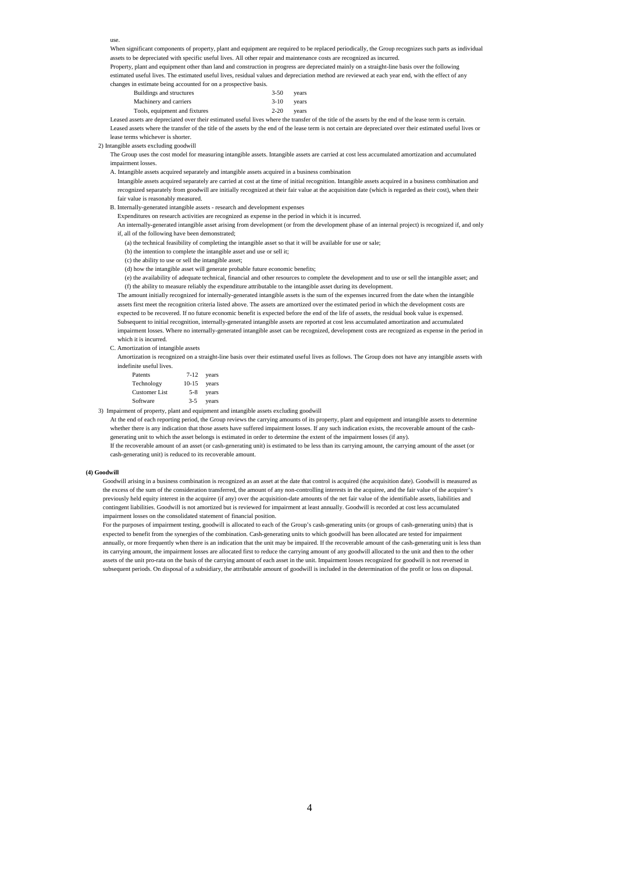use.

When significant components of property, plant and equipment are required to be replaced periodically, the Group recognizes such parts as individual assets to be depreciated with specific useful lives. All other repair and maintenance costs are recognized as incurred.

Property, plant and equipment other than land and construction in progress are depreciated mainly on a straight-line basis over the following estimated useful lives. The estimated useful lives, residual values and depreciation method are reviewed at each year end, with the effect of any changes in estimate being accounted for on a prospective basis.

| Buildings and structures      | $3 - 50$ | vears |
|-------------------------------|----------|-------|
| Machinery and carriers        | $3-10$   | vears |
| Tools, equipment and fixtures | $2 - 20$ | vears |

Leased assets are depreciated over their estimated useful lives where the transfer of the title of the assets by the end of the lease term is certain. Leased assets where the transfer of the title of the assets by the end of the lease term is not certain are depreciated over their estimated useful lives or lease terms whichever is shorter.

2) Intangible assets excluding goodwill

The Group uses the cost model for measuring intangible assets. Intangible assets are carried at cost less accumulated amortization and accumulated impairment losses.

A. Intangible assets acquired separately and intangible assets acquired in a business combination

 Intangible assets acquired separately are carried at cost at the time of initial recognition. Intangible assets acquired in a business combination and recognized separately from goodwill are initially recognized at their fair value at the acquisition date (which is regarded as their cost), when their fair value is reasonably measured.

B. Internally-generated intangible assets - research and development expenses

Expenditures on research activities are recognized as expense in the period in which it is incurred.

 An internally-generated intangible asset arising from development (or from the development phase of an internal project) is recognized if, and only if, all of the following have been demonstrated;

(a) the technical feasibility of completing the intangible asset so that it will be available for use or sale;

(b) the intention to complete the intangible asset and use or sell it; (c) the ability to use or sell the intangible asset;

(d) how the intangible asset will generate probable future economic benefits;

(e) the availability of adequate technical, financial and other resources to complete the development and to use or sell the intangible asset; and (f) the ability to measure reliably the expenditure attributable to the intangible asset during its development.

The amount initially recognized for internally-generated intangible assets is the sum of the expenses incurred from the date when the intangible assets first meet the recognition criteria listed above. The assets are amortized over the estimated period in which the development costs are expected to be recovered. If no future economic benefit is expected before the end of the life of assets, the residual book value is expensed. Subsequent to initial recognition, internally-generated intangible assets are reported at cost less accumulated amortization and accumulated impairment losses. Where no internally-generated intangible asset can be recognized, development costs are recognized as expense in the period in which it is incurred.

C. Amortization of intangible assets

Amortization is recognized on a straight-line basis over their estimated useful lives as follows. The Group does not have any intangible assets with indefinite useful lives.

| Patents              | $7-12$    | years |
|----------------------|-----------|-------|
| Technology           | $10 - 15$ | years |
| <b>Customer List</b> | $5-8$     | years |
| Software             | $3 - 5$   | years |

3) Impairment of property, plant and equipment and intangible assets excluding goodwill

At the end of each reporting period, the Group reviews the carrying amounts of its property, plant and equipment and intangible assets to determine whether there is any indication that those assets have suffered impairment losses. If any such indication exists, the recoverable amount of the cashgenerating unit to which the asset belongs is estimated in order to determine the extent of the impairment losses (if any).

If the recoverable amount of an asset (or cash-generating unit) is estimated to be less than its carrying amount, the carrying amount of the asset (or cash-generating unit) is reduced to its recoverable amount.

#### **(4) Goodwill**

Goodwill arising in a business combination is recognized as an asset at the date that control is acquired (the acquisition date). Goodwill is measured as the excess of the sum of the consideration transferred, the amount of any non-controlling interests in the acquiree, and the fair value of the acquirer's previously held equity interest in the acquiree (if any) over the acquisition-date amounts of the net fair value of the identifiable assets, liabilities and contingent liabilities. Goodwill is not amortized but is reviewed for impairment at least annually. Goodwill is recorded at cost less accumulated impairment losses on the consolidated statement of financial position.

For the purposes of impairment testing, goodwill is allocated to each of the Group's cash-generating units (or groups of cash-generating units) that is expected to benefit from the synergies of the combination. Cash-generating units to which goodwill has been allocated are tested for impairment annually, or more frequently when there is an indication that the unit may be impaired. If the recoverable amount of the cash-generating unit is less than its carrying amount, the impairment losses are allocated first to reduce the carrying amount of any goodwill allocated to the unit and then to the other assets of the unit pro-rata on the basis of the carrying amount of each asset in the unit. Impairment losses recognized for goodwill is not reversed in subsequent periods. On disposal of a subsidiary, the attributable amount of goodwill is included in the determination of the profit or loss on disposal.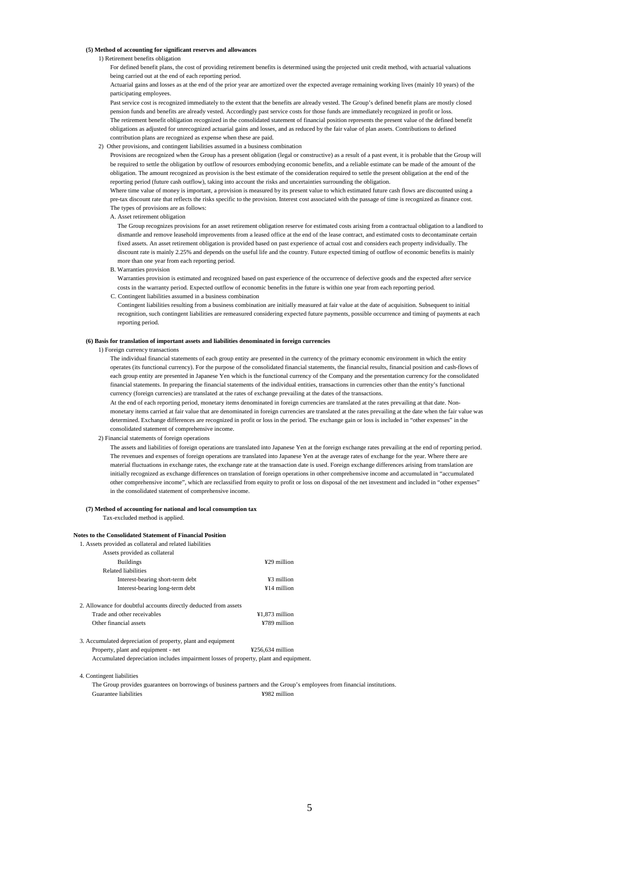# **(5) Method of accounting for significant reserves and allowances**

# 1) Retirement benefits obligation

For defined benefit plans, the cost of providing retirement benefits is determined using the projected unit credit method, with actuarial valuations being carried out at the end of each reporting period.

Actuarial gains and losses as at the end of the prior year are amortized over the expected average remaining working lives (mainly 10 years) of the participating employees.

Past service cost is recognized immediately to the extent that the benefits are already vested. The Group's defined benefit plans are mostly closed pension funds and benefits are already vested. Accordingly past service costs for those funds are immediately recognized in profit or loss. The retirement benefit obligation recognized in the consolidated statement of financial position represents the present value of the defined benefit obligations as adjusted for unrecognized actuarial gains and losses, and as reduced by the fair value of plan assets. Contributions to defined contribution plans are recognized as expense when these are paid.

### 2) Other provisions, and contingent liabilities assumed in a business combination

Provisions are recognized when the Group has a present obligation (legal or constructive) as a result of a past event, it is probable that the Group will be required to settle the obligation by outflow of resources embodying economic benefits, and a reliable estimate can be made of the amount of the obligation. The amount recognized as provision is the best estimate of the consideration required to settle the present obligation at the end of the reporting period (future cash outflow), taking into account the risks and uncertainties surrounding the obligation.

Where time value of money is important, a provision is measured by its present value to which estimated future cash flows are discounted using a pre-tax discount rate that reflects the risks specific to the provision. Interest cost associated with the passage of time is recognized as finance cost. The types of provisions are as follows:

### A. Asset retirement obligation

 The Group recognizes provisions for an asset retirement obligation reserve for estimated costs arising from a contractual obligation to a landlord to dismantle and remove leasehold improvements from a leased office at the end of the lease contract, and estimated costs to decontaminate certain fixed assets. An asset retirement obligation is provided based on past experience of actual cost and considers each property individually. The discount rate is mainly 2.25% and depends on the useful life and the country. Future expected timing of outflow of economic benefits is mainly more than one year from each reporting period.

B. Warranties provision

Warranties provision is estimated and recognized based on past experience of the occurrence of defective goods and the expected after service costs in the warranty period. Expected outflow of economic benefits in the future is within one year from each reporting period.

C. Contingent liabilities assumed in a business combination

Contingent liabilities resulting from a business combination are initially measured at fair value at the date of acquisition. Subsequent to initial recognition, such contingent liabilities are remeasured considering expected future payments, possible occurrence and timing of payments at each reporting period.

## **(6) Basis for translation of important assets and liabilities denominated in foreign currencies**

1) Foreign currency transactions

The individual financial statements of each group entity are presented in the currency of the primary economic environment in which the entity operates (its functional currency). For the purpose of the consolidated financial statements, the financial results, financial position and cash-flows of each group entity are presented in Japanese Yen which is the functional currency of the Company and the presentation currency for the consolidated financial statements. In preparing the financial statements of the individual entities, transactions in currencies other than the entity's functional currency (foreign currencies) are translated at the rates of exchange prevailing at the dates of the transactions.

At the end of each reporting period, monetary items denominated in foreign currencies are translated at the rates prevailing at that date. Nonmonetary items carried at fair value that are denominated in foreign currencies are translated at the rates prevailing at the date when the fair value was determined. Exchange differences are recognized in profit or loss in the period. The exchange gain or loss is included in "other expenses" in the consolidated statement of comprehensive income. 2) Financial statements of foreign operations

The assets and liabilities of foreign operations are translated into Japanese Yen at the foreign exchange rates prevailing at the end of reporting period. The revenues and expenses of foreign operations are translated into Japanese Yen at the average rates of exchange for the year. Where there are material fluctuations in exchange rates, the exchange rate at the transaction date is used. Foreign exchange differences arising from translation are initially recognized as exchange differences on translation of foreign operations in other comprehensive income and accumulated in "accumulated other comprehensive income", which are reclassified from equity to profit or loss on disposal of the net investment and included in "other expenses" in the consolidated statement of comprehensive income.

### **(7) Method of accounting for national and local consumption tax** Tax-excluded method is applied.

## **Notes to the Consolidated Statement of Financial Position**

# 1. Assets provided as collateral and related liabilities

| Assets provided as collateral                                    |                    |
|------------------------------------------------------------------|--------------------|
| <b>Buildings</b>                                                 | $429$ million      |
| <b>Related liabilities</b>                                       |                    |
| Interest-bearing short-term debt                                 | ¥3 million         |
| Interest-bearing long-term debt                                  | $¥14$ million      |
| 2. Allowance for doubtful accounts directly deducted from assets |                    |
| Trade and other receivables                                      | ¥1.873 million     |
| Other financial assets                                           | ¥789 million       |
| 3. Accumulated depreciation of property, plant and equipment     |                    |
| Property, plant and equipment - net                              | $4256.634$ million |

Accumulated depreciation includes impairment losses of property, plant and equipment.

4. Contingent liabilities

The Group provides guarantees on borrowings of business partners and the Group's employees from financial institutions. Guarantee liabilities ¥982 million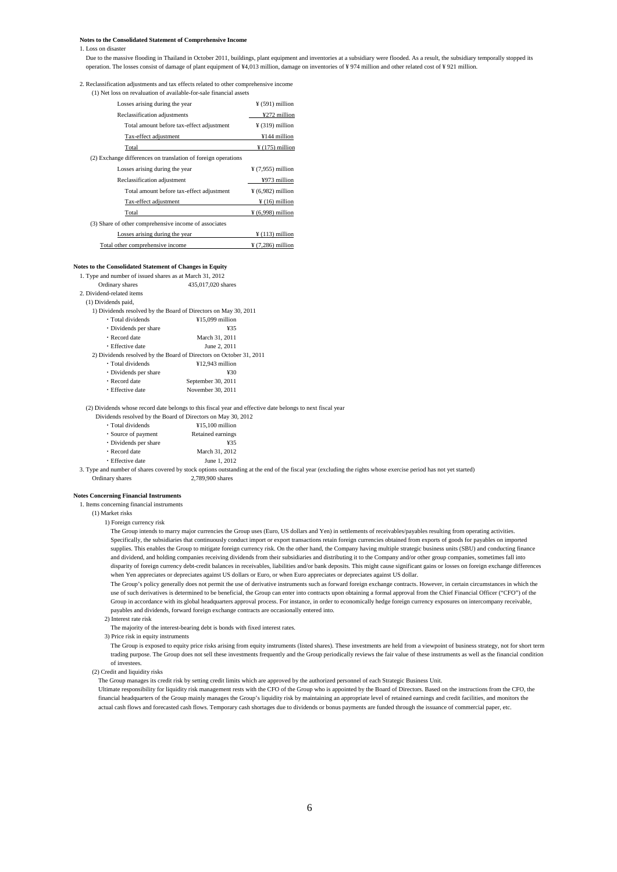#### **Notes to the Consolidated Statement of Comprehensive Income**

## 1. Loss on disaster

Due to the massive flooding in Thailand in October 2011, buildings, plant equipment and inventories at a subsidiary were flooded. As a result, the subsidiary temporally stopped its operation. The losses consist of damage of plant equipment of ¥4,013 million, damage on inventories of ¥ 974 million and other related cost of ¥ 921 million.

# 2. Reclassification adjustments and tax effects related to other comprehensive income

| (1) Net loss on revaluation of available-for-sale financial assets |                               |  |
|--------------------------------------------------------------------|-------------------------------|--|
| Losses arising during the year                                     | $\frac{1}{2}$ (591) million   |  |
| Reclassification adjustments                                       | ¥272 million                  |  |
| Total amount before tax-effect adjustment                          | $\frac{1}{2}$ (319) million   |  |
| Tax-effect adjustment                                              | ¥144 million                  |  |
| Total                                                              | $\frac{1}{2}$ (175) million   |  |
| (2) Exchange differences on translation of foreign operations      |                               |  |
| Losses arising during the year                                     | $\frac{1}{2}$ (7,955) million |  |
| Reclassification adjustment                                        | ¥973 million                  |  |
| Total amount before tax-effect adjustment                          | $\frac{1}{2}$ (6,982) million |  |
| Tax-effect adjustment                                              | $\frac{1}{2}$ (16) million    |  |
| Total                                                              | $\frac{1}{2}$ (6,998) million |  |
| (3) Share of other comprehensive income of associates              |                               |  |
| Losses arising during the year                                     | $\frac{1}{2}$ (113) million   |  |
| Total other comprehensive income                                   | $\frac{1}{2}$ (7,286) million |  |
|                                                                    |                               |  |

# **Notes to the Consolidated Statement of Changes in Equity**

1. Type and number of issued shares as at March 31, 2012  $17.020$  shares

| Ordinary shares           | 435,017,020 shares                                              |
|---------------------------|-----------------------------------------------------------------|
| 2. Dividend-related items |                                                                 |
| (1) Dividends paid,       |                                                                 |
|                           | 1) Dividends resolved by the Board of Directors on May 30, 2011 |
| · Total dividends         | $¥15.099$ million                                               |

| • Dividends per share | ¥35                                                                 |
|-----------------------|---------------------------------------------------------------------|
| • Record date         | March 31, 2011                                                      |
| • Effective date      | June 2, 2011                                                        |
|                       | 2) Dividends resolved by the Board of Directors on October 31, 2011 |
| • Total dividends     | ¥12.943 million                                                     |
| • Dividends per share | ¥30                                                                 |
| • Record date         | September 30, 2011                                                  |
| · Effective date      | November 30, 2011                                                   |

(2) Dividends whose record date belongs to this fiscal year and effective date belongs to next fiscal year

| Dividends resolved by the Board of Directors on May 30, 2012 |                   |
|--------------------------------------------------------------|-------------------|
| · Total dividends                                            | ¥15,100 million   |
| • Source of payment                                          | Retained earnings |
| • Dividends per share                                        | ¥35               |
| • Record date                                                | March 31, 2012    |
| • Effective date                                             | June 1, 2012      |

3. Type and number of shares covered by stock options outstanding at the end of the fiscal year (excluding the rights whose exercise period has not yet started) Ordinary shares 2,789,900 shares

## **Notes Concerning Financial Instruments**

1. Items concerning financial instruments

(1) Market risks

1) Foreign currency risk

The Group intends to marry major currencies the Group uses (Euro, US dollars and Yen) in settlements of receivables/payables resulting from operating activities Specifically, the subsidiaries that continuously conduct import or export transactions retain foreign currencies obtained from exports of goods for payables on imported supplies. This enables the Group to mitigate foreign currency risk. On the other hand, the Company having multiple strategic business units (SBU) and conducting finance and dividend, and holding companies receiving dividends from their subsidiaries and distributing it to the Company and/or other group companies, sometimes fall into disparity of foreign currency debt-credit balances in receivables, liabilities and/or bank deposits. This might cause significant gains or losses on foreign exchange differences when Yen appreciates or depreciates against US dollars or Euro, or when Euro appreciates or depreciates against US dollar.

The Group's policy generally does not permit the use of derivative instruments such as forward foreign exchange contracts. However, in certain circumstances in which the use of such derivatives is determined to be beneficial, the Group can enter into contracts upon obtaining a formal approval from the Chief Financial Officer ("CFO") of the Group in accordance with its global headquarters approval process. For instance, in order to economically hedge foreign currency exposures on intercompany receivable, payables and dividends, forward foreign exchange contracts are occasionally entered into.

2) Interest rate risk

The majority of the interest-bearing debt is bonds with fixed interest rates.

- 3) Price risk in equity instruments
- The Group is exposed to equity price risks arising from equity instruments (listed shares). These investments are held from a viewpoint of business strategy, not for short term trading purpose. The Group does not sell these investments frequently and the Group periodically reviews the fair value of these instruments as well as the financial condition of investees.

(2) Credit and liquidity risks

The Group manages its credit risk by setting credit limits which are approved by the authorized personnel of each Strategic Business Unit.

Ultimate responsibility for liquidity risk management rests with the CFO of the Group who is appointed by the Board of Directors. Based on the instructions from the CFO, the financial headquarters of the Group mainly manages the Group's liquidity risk by maintaining an appropriate level of retained earnings and credit facilities, and monitors the actual cash flows and forecasted cash flows. Temporary cash shortages due to dividends or bonus payments are funded through the issuance of commercial paper, etc.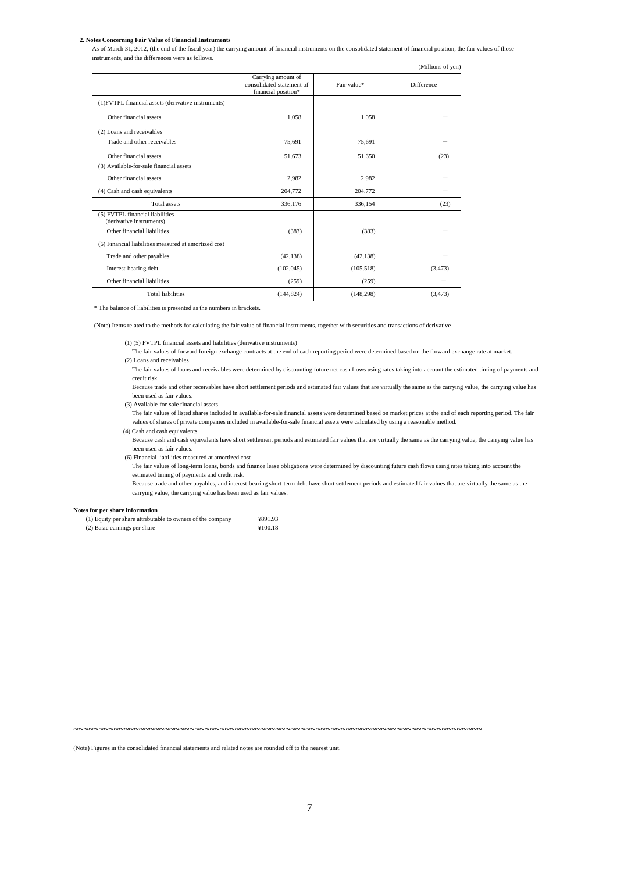# **2. Notes Concerning Fair Value of Financial Instruments**

As of March 31, 2012, (the end of the fiscal year) the carrying amount of financial instruments on the consolidated statement of financial position, the fair values of those instruments, and the differences were as follows.

|                                                                                            |                                                                        |             | (Millions of yen) |
|--------------------------------------------------------------------------------------------|------------------------------------------------------------------------|-------------|-------------------|
|                                                                                            | Carrying amount of<br>consolidated statement of<br>financial position* | Fair value* | Difference        |
| (1) FVTPL financial assets (derivative instruments)                                        |                                                                        |             |                   |
| Other financial assets                                                                     | 1.058                                                                  | 1,058       |                   |
| (2) Loans and receivables                                                                  |                                                                        |             |                   |
| Trade and other receivables                                                                | 75,691                                                                 | 75,691      |                   |
| Other financial assets                                                                     | 51,673                                                                 | 51,650      | (23)              |
| (3) Available-for-sale financial assets                                                    |                                                                        |             |                   |
| Other financial assets                                                                     | 2.982                                                                  | 2.982       |                   |
| (4) Cash and cash equivalents                                                              | 204,772                                                                | 204,772     |                   |
| Total assets                                                                               | 336,176                                                                | 336,154     | (23)              |
| (5) FVTPL financial liabilities<br>(derivative instruments)<br>Other financial liabilities | (383)                                                                  | (383)       |                   |
| (6) Financial liabilities measured at amortized cost                                       |                                                                        |             |                   |
| Trade and other payables                                                                   | (42, 138)                                                              | (42, 138)   |                   |
| Interest-bearing debt                                                                      | (102, 045)                                                             | (105, 518)  | (3, 473)          |
| Other financial liabilities                                                                | (259)                                                                  | (259)       |                   |
| <b>Total liabilities</b>                                                                   | (144, 824)                                                             | (148, 298)  | (3, 473)          |
|                                                                                            |                                                                        |             |                   |

\* The balance of liabilities is presented as the numbers in brackets.

(Note) Items related to the methods for calculating the fair value of financial instruments, together with securities and transactions of derivative

(1) (5) FVTPL financial assets and liabilities (derivative instruments)

- The fair values of forward foreign exchange contracts at the end of each reporting period were determined based on the forward exchange rate at market.
- (2) Loans and receivables

The fair values of loans and receivables were determined by discounting future net cash flows using rates taking into account the estimated timing of payments and credit risk.

Because trade and other receivables have short settlement periods and estimated fair values that are virtually the same as the carrying value, the carrying value has been used as fair values.

(3) Available-for-sale financial assets

The fair values of listed shares included in available-for-sale financial assets were determined based on market prices at the end of each reporting period. The fair values of shares of private companies included in available-for-sale financial assets were calculated by using a reasonable method.

(4) Cash and cash equivalents

Because cash and cash equivalents have short settlement periods and estimated fair values that are virtually the same as the carrying value, the carrying value has been used as fair values.

(6) Financial liabilities measured at amortized cost

The fair values of long-term loans, bonds and finance lease obligations were determined by discounting future cash flows using rates taking into account the estimated timing of payments and credit risk.

Because trade and other payables, and interest-bearing short-term debt have short settlement periods and estimated fair values that are virtually the same as the carrying value, the carrying value has been used as fair values.

#### **Notes for per share information**

| (1) Equity per share attributable to owners of the company | ¥891.93 |
|------------------------------------------------------------|---------|
| (2) Basic earnings per share                               | ¥100.18 |

~~~~~~~~~~~~~~~~~~~~~~~~~~~~~~~~~~~~~~~~~~~~~~~~~~~~~~~~~~~~~~~~~~~~~~~~~~~~~~~~~

(Note) Figures in the consolidated financial statements and related notes are rounded off to the nearest unit.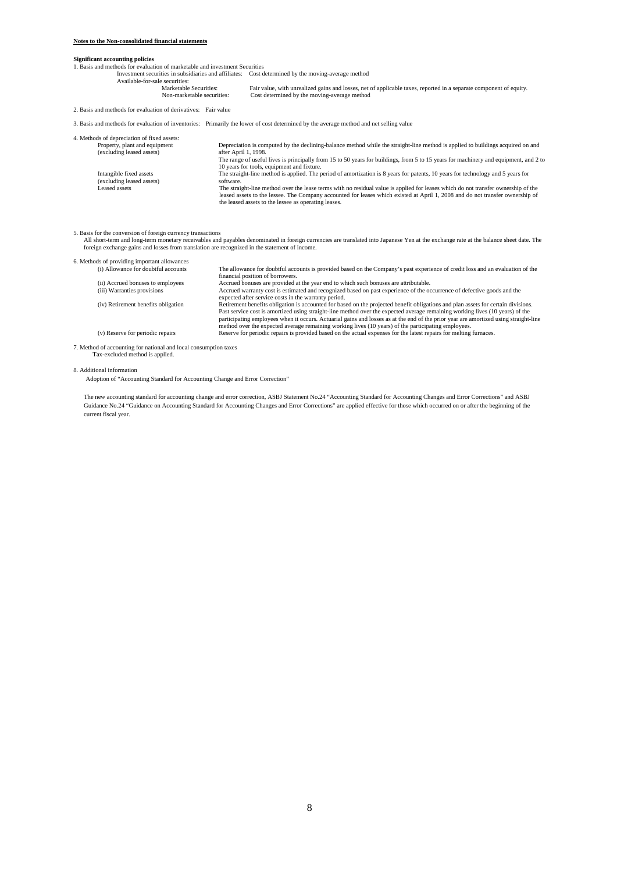# **Notes to the Non-consolidated financial statements**

# **Significant accounting policies**

1. Basis and methods for evaluation of marketable and investment Securities

Investment securities in subsidiaries and affiliates: Cost determined by the moving-average method

Available-for-sale securities:<br>Marketable Securities: Execurities: Fair value, with unrealized gains and losses, net of applicable taxes, reported in a separate component of equity.<br>Mon-marketable securities: Cost determined by the movine-average method Fan Vance, while all called gains and resisted, net all cost determined by the moving-average method

2. Basis and methods for evaluation of derivatives: Fair value

3. Basis and methods for evaluation of inventories: Primarily the lower of cost determined by the average method and net selling value

| 4. Methods of depreciation of fixed assets:                |                                                                                                                                                                                                                                                                                                                            |
|------------------------------------------------------------|----------------------------------------------------------------------------------------------------------------------------------------------------------------------------------------------------------------------------------------------------------------------------------------------------------------------------|
| Property, plant and equipment<br>(excluding leased assets) | Depreciation is computed by the declining-balance method while the straight-line method is applied to buildings acquired on and<br>after April 1, 1998.                                                                                                                                                                    |
|                                                            | The range of useful lives is principally from 15 to 50 years for buildings, from 5 to 15 years for machinery and equipment, and 2 to<br>10 years for tools, equipment and fixture.                                                                                                                                         |
| Intangible fixed assets<br>(excluding leased assets)       | The straight-line method is applied. The period of amortization is 8 years for patents, 10 years for technology and 5 years for<br>software.                                                                                                                                                                               |
| Leased assets                                              | The straight-line method over the lease terms with no residual value is applied for leases which do not transfer ownership of the<br>leased assets to the lessee. The Company accounted for leases which existed at April 1, 2008 and do not transfer ownership of<br>the leased assets to the lessee as operating leases. |

# 5. Basis for the conversion of foreign currency transactions

All short-term and long-term monetary receivables and payables denominated in foreign currencies are translated into Japanese Yen at the exchange rate at the balance sheet date. The<br>foreign exchange gains and losses from t

| 6. Methods of providing important allowances                                                                                                                                                                                             |                                                                                                                                                                                                                                                                                                                                                                                                                                                                                                                   |
|------------------------------------------------------------------------------------------------------------------------------------------------------------------------------------------------------------------------------------------|-------------------------------------------------------------------------------------------------------------------------------------------------------------------------------------------------------------------------------------------------------------------------------------------------------------------------------------------------------------------------------------------------------------------------------------------------------------------------------------------------------------------|
| (i) Allowance for doubtful accounts                                                                                                                                                                                                      | The allowance for doubtful accounts is provided based on the Company's past experience of credit loss and an evaluation of the<br>financial position of borrowers.                                                                                                                                                                                                                                                                                                                                                |
| (ii) Accrued bonuses to employees                                                                                                                                                                                                        | Accrued bonuses are provided at the year end to which such bonuses are attributable.                                                                                                                                                                                                                                                                                                                                                                                                                              |
| (iii) Warranties provisions                                                                                                                                                                                                              | Accrued warranty cost is estimated and recognized based on past experience of the occurrence of defective goods and the<br>expected after service costs in the warranty period.                                                                                                                                                                                                                                                                                                                                   |
| (iv) Retirement benefits obligation                                                                                                                                                                                                      | Retirement benefits obligation is accounted for based on the projected benefit obligations and plan assets for certain divisions.<br>Past service cost is amortized using straight-line method over the expected average remaining working lives (10 years) of the<br>participating employees when it occurs. Actuarial gains and losses as at the end of the prior year are amortized using straight-line<br>method over the expected average remaining working lives (10 years) of the participating employees. |
| (v) Reserve for periodic repairs                                                                                                                                                                                                         | Reserve for periodic repairs is provided based on the actual expenses for the latest repairs for melting furnaces.                                                                                                                                                                                                                                                                                                                                                                                                |
| $\overline{\sigma}$ . A final configuration of a constant from the collection of the second contract of the second second second second second second second second second second second second second second second second second secon |                                                                                                                                                                                                                                                                                                                                                                                                                                                                                                                   |

7. Method of accounting for national and local consumption taxes Tax-excluded method is applied.

## 8. Additional information

Adoption of "Accounting Standard for Accounting Change and Error Correction"

The new accounting standard for accounting change and error correction, ASBJ Statement No.24 "Accounting Standard for Accounting Changes and Error Corrections" and ASBJ Guidance No.24 "Guidance on Accounting Standard for Accounting Changes and Error Corrections" are applied effective for those which occurred on or after the beginning of the current fiscal year.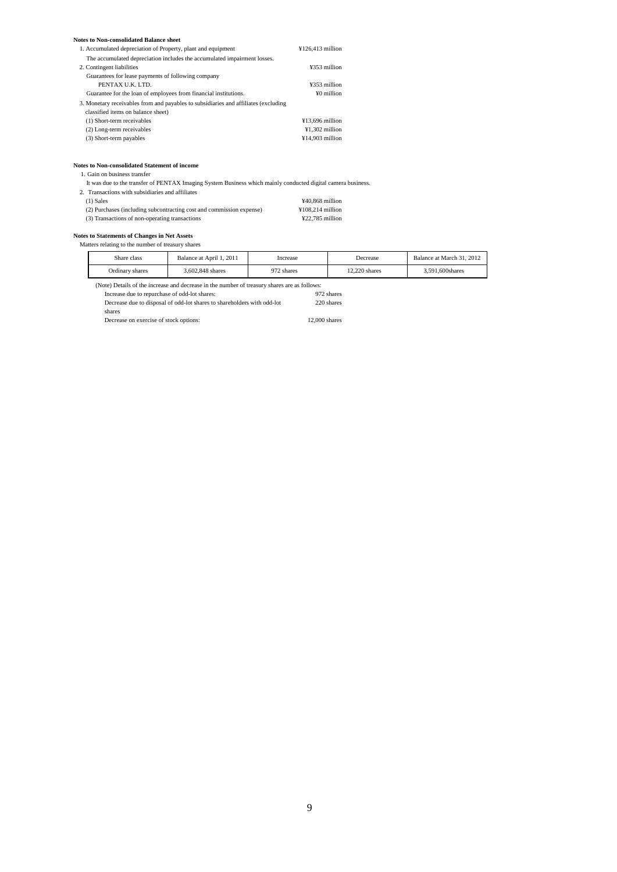| Notes to Non-consolidated Balance sheet                                             |                   |
|-------------------------------------------------------------------------------------|-------------------|
| 1. Accumulated depreciation of Property, plant and equipment                        | ¥126.413 million  |
| The accumulated depreciation includes the accumulated impairment losses.            |                   |
| 2. Contingent liabilities                                                           | ¥353 million      |
| Guarantees for lease payments of following company                                  |                   |
| PENTAX U.K. LTD.                                                                    | ¥353 million      |
| Guarantee for the loan of employees from financial institutions.                    | ¥0 million        |
| 3. Monetary receivables from and payables to subsidiaries and affiliates (excluding |                   |
| classified items on balance sheet)                                                  |                   |
| (1) Short-term receivables                                                          | $¥13,696$ million |
| (2) Long-term receivables                                                           | ¥1.302 million    |
| (3) Short-term payables                                                             | ¥14.903 million   |

# **Notes to Non-consolidated Statement of income**

# 1. Gain on business transfer

It was due to the transfer of PENTAX Imaging System Business which mainly conducted digital camera business.

| 2. Transactions with subsidiaries and affiliates                     |                                  |
|----------------------------------------------------------------------|----------------------------------|
| $(1)$ Sales                                                          | ¥40,868 million                  |
| (2) Purchases (including subcontracting cost and commission expense) | $¥108.214$ million               |
| (3) Transactions of non-operating transactions                       | $\text{\textless}22.785$ million |

#### **Notes to Statements of Changes in Net Assets**

#### Matters relating to the number of treasury shares

| Share class                                                                                  | Balance at April 1, 2011 | Increase   | Decrease        | Balance at March 31, 2012 |  |
|----------------------------------------------------------------------------------------------|--------------------------|------------|-----------------|---------------------------|--|
| Ordinary shares                                                                              | 3.602.848 shares         | 972 shares | $12.220$ shares | 3.591.600shares           |  |
| (Note) Details of the increase and decrease in the number of treasury shares are as follows: |                          |            |                 |                           |  |
| Increase due to repurchase of odd-lot shares:                                                |                          |            | 972 shares      |                           |  |

Decrease due to disposal of odd-lot shares to shareholders with odd-lot

shares Decrease on exercise of stock options: 12,000 shares

220 shares